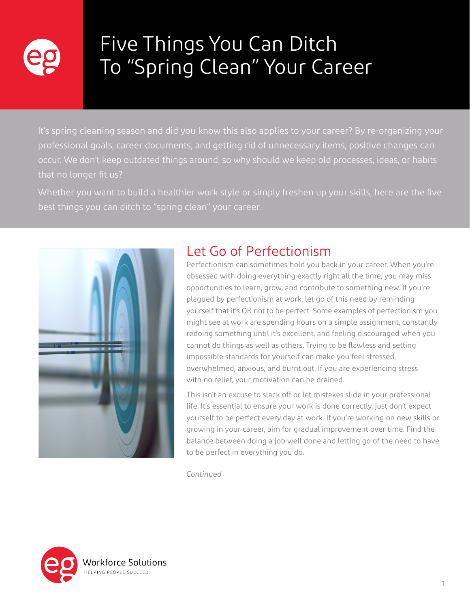

# Five Things You Can Ditch To "Spring Clean" Your Career

It's spring cleaning season and did you know this also applies to your career? By re-organizing your professional goals, career documents, and getting rid of unnecessary items, positive changes can occur. We don't keep outdated things around, so why should we keep old processes, ideas, or habits that no longer fit us?

Whether you want to build a healthier work style or simply freshen up your skills, here are the five best things you can ditch to "spring clean" your career.



#### Let Go of Perfectionism

Perfectionism can sometimes hold you back in your career. When you're obsessed with doing everything exactly right all the time, you may miss opportunities to learn, grow, and contribute to something new. If you're plagued by perfectionism at work, let go of this need by reminding yourself that it's OK not to be perfect. Some examples of perfectionism you might see at work are spending hours on a simple assignment, constantly redoing something until it's excellent, and feeling discouraged when you cannot do things as well as others. Trying to be flawless and setting impossible standards for yourself can make you feel stressed, overwhelmed, anxious, and burnt out. If you are experiencing stress with no relief, your motivation can be drained.

This isn't an excuse to slack off or let mistakes slide in your professional life. It's essential to ensure your work is done correctly, just don't expect yourself to be perfect every day at work. If you're working on new skills or growing in your career, aim for gradual improvement over time. Find the balance between doing a job well done and letting go of the need to have to be perfect in everything you do.

*Continued*

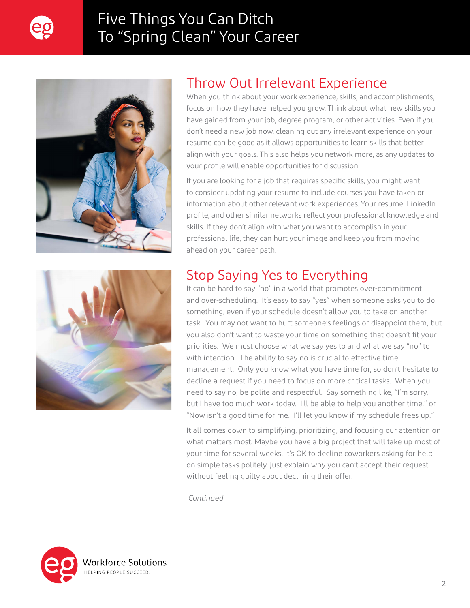

## Five Things You Can Ditch To "Spring Clean" Your Career





When you think about your work experience, skills, and accomplishments, focus on how they have helped you grow. Think about what new skills you have gained from your job, degree program, or other activities. Even if you don't need a new job now, cleaning out any irrelevant experience on your resume can be good as it allows opportunities to learn skills that better align with your goals. This also helps you network more, as any updates to your profile will enable opportunities for discussion.

If you are looking for a job that requires specific skills, you might want to consider updating your resume to include courses you have taken or information about other relevant work experiences. Your resume, LinkedIn profile, and other similar networks reflect your professional knowledge and skills. If they don't align with what you want to accomplish in your professional life, they can hurt your image and keep you from moving ahead on your career path.



### Stop Saying Yes to Everything

It can be hard to say "no" in a world that promotes over-commitment and over-scheduling. It's easy to say "yes" when someone asks you to do something, even if your schedule doesn't allow you to take on another task. You may not want to hurt someone's feelings or disappoint them, but you also don't want to waste your time on something that doesn't fit your priorities. We must choose what we say yes to and what we say "no" to with intention. The ability to say no is crucial to effective time management. Only you know what you have time for, so don't hesitate to decline a request if you need to focus on more critical tasks. When you need to say no, be polite and respectful. Say something like, "I'm sorry, but I have too much work today. I'll be able to help you another time," or "Now isn't a good time for me. I'll let you know if my schedule frees up."

It all comes down to simplifying, prioritizing, and focusing our attention on what matters most. Maybe you have a big project that will take up most of your time for several weeks. It's OK to decline coworkers asking for help on simple tasks politely. Just explain why you can't accept their request without feeling guilty about declining their offer.

*Continued*